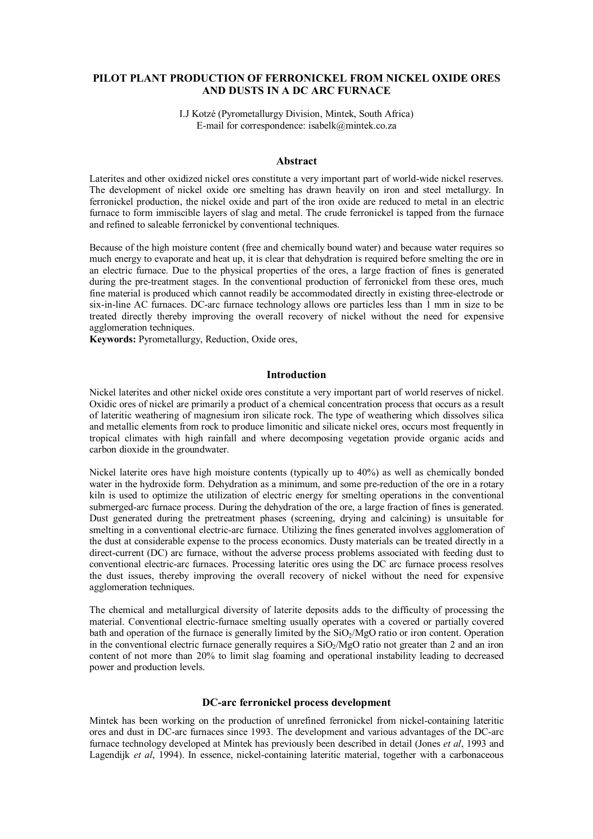# **PILOT PLANT PRODUCTION OF FERRONICKEL FROM NICKEL OXIDE ORES AND DUSTS IN A DC ARC FURNACE**

I.J KotzÈ (Pyrometallurgy Division, Mintek, South Africa) E-mail for correspondence: isabelk@mintek.co.za

# **Abstract**

Laterites and other oxidized nickel ores constitute a very important part of world-wide nickel reserves. The development of nickel oxide ore smelting has drawn heavily on iron and steel metallurgy. In ferronickel production, the nickel oxide and part of the iron oxide are reduced to metal in an electric furnace to form immiscible layers of slag and metal. The crude ferronickel is tapped from the furnace and refined to saleable ferronickel by conventional techniques.

Because of the high moisture content (free and chemically bound water) and because water requires so much energy to evaporate and heat up, it is clear that dehydration is required before smelting the ore in an electric furnace. Due to the physical properties of the ores, a large fraction of fines is generated during the pre-treatment stages. In the conventional production of ferronickel from these ores, much fine material is produced which cannot readily be accommodated directly in existing three-electrode or six-in-line AC furnaces. DC-arc furnace technology allows ore particles less than 1 mm in size to be treated directly thereby improving the overall recovery of nickel without the need for expensive agglomeration techniques.

**Keywords:** Pyrometallurgy, Reduction, Oxide ores,

#### **Introduction**

Nickel laterites and other nickel oxide ores constitute a very important part of world reserves of nickel. Oxidic ores of nickel are primarily a product of a chemical concentration process that occurs as a result of lateritic weathering of magnesium iron silicate rock. The type of weathering which dissolves silica and metallic elements from rock to produce limonitic and silicate nickel ores, occurs most frequently in tropical climates with high rainfall and where decomposing vegetation provide organic acids and carbon dioxide in the groundwater.

Nickel laterite ores have high moisture contents (typically up to 40%) as well as chemically bonded water in the hydroxide form. Dehydration as a minimum, and some pre-reduction of the ore in a rotary kiln is used to optimize the utilization of electric energy for smelting operations in the conventional submerged-arc furnace process. During the dehydration of the ore, a large fraction of fines is generated. Dust generated during the pretreatment phases (screening, drying and calcining) is unsuitable for smelting in a conventional electric-arc furnace. Utilizing the fines generated involves agglomeration of the dust at considerable expense to the process economics. Dusty materials can be treated directly in a direct-current (DC) arc furnace, without the adverse process problems associated with feeding dust to conventional electric-arc furnaces. Processing lateritic ores using the DC arc furnace process resolves the dust issues, thereby improving the overall recovery of nickel without the need for expensive agglomeration techniques.

The chemical and metallurgical diversity of laterite deposits adds to the difficulty of processing the material. Conventional electric-furnace smelting usually operates with a covered or partially covered bath and operation of the furnace is generally limited by the SiO<sub>2</sub>/MgO ratio or iron content. Operation in the conventional electric furnace generally requires a  $SiO<sub>2</sub>/MgO$  ratio not greater than 2 and an iron content of not more than 20% to limit slag foaming and operational instability leading to decreased power and production levels.

# **DC-arc ferronickel process development**

Mintek has been working on the production of unrefined ferronickel from nickel-containing lateritic ores and dust in DC-arc furnaces since 1993. The development and various advantages of the DC-arc furnace technology developed at Mintek has previously been described in detail (Jones *et al*, 1993 and Lagendijk *et al*, 1994). In essence, nickel-containing lateritic material, together with a carbonaceous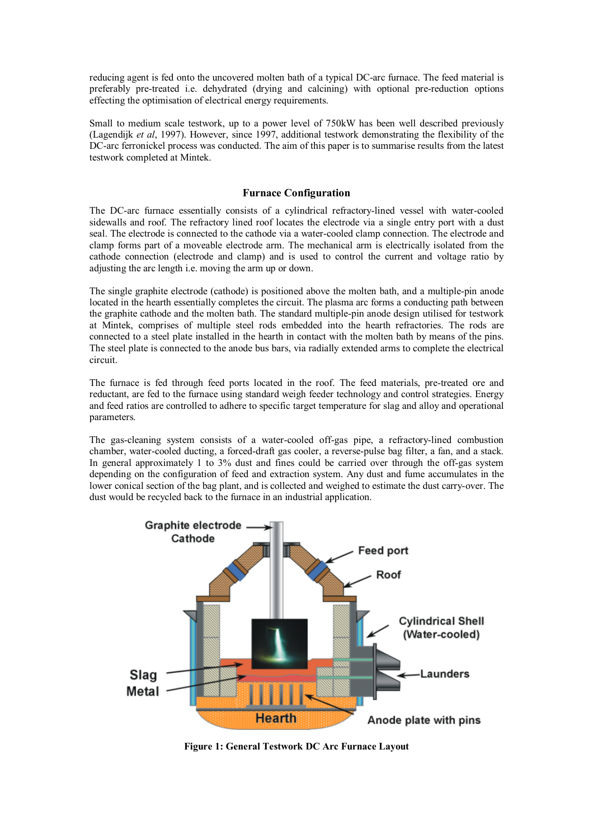reducing agent is fed onto the uncovered molten bath of a typical DC-arc furnace. The feed material is preferably pre-treated i.e. dehydrated (drying and calcining) with optional pre-reduction options effecting the optimisation of electrical energy requirements.

Small to medium scale testwork, up to a power level of 750kW has been well described previously (Lagendijk *et al*, 1997). However, since 1997, additional testwork demonstrating the flexibility of the DC-arc ferronickel process was conducted. The aim of this paper is to summarise results from the latest testwork completed at Mintek.

# **Furnace Configuration**

The DC-arc furnace essentially consists of a cylindrical refractory-lined vessel with water-cooled sidewalls and roof. The refractory lined roof locates the electrode via a single entry port with a dust seal. The electrode is connected to the cathode via a water-cooled clamp connection. The electrode and clamp forms part of a moveable electrode arm. The mechanical arm is electrically isolated from the cathode connection (electrode and clamp) and is used to control the current and voltage ratio by adjusting the arc length i.e. moving the arm up or down.

The single graphite electrode (cathode) is positioned above the molten bath, and a multiple-pin anode located in the hearth essentially completes the circuit. The plasma arc forms a conducting path between the graphite cathode and the molten bath. The standard multiple-pin anode design utilised for testwork at Mintek, comprises of multiple steel rods embedded into the hearth refractories. The rods are connected to a steel plate installed in the hearth in contact with the molten bath by means of the pins. The steel plate is connected to the anode bus bars, via radially extended arms to complete the electrical circuit.

The furnace is fed through feed ports located in the roof. The feed materials, pre-treated ore and reductant, are fed to the furnace using standard weigh feeder technology and control strategies. Energy and feed ratios are controlled to adhere to specific target temperature for slag and alloy and operational parameters.

The gas-cleaning system consists of a water-cooled off-gas pipe, a refractory-lined combustion chamber, water-cooled ducting, a forced-draft gas cooler, a reverse-pulse bag filter, a fan, and a stack. In general approximately 1 to 3% dust and fines could be carried over through the off-gas system depending on the configuration of feed and extraction system. Any dust and fume accumulates in the lower conical section of the bag plant, and is collected and weighed to estimate the dust carry-over. The dust would be recycled back to the furnace in an industrial application.



**Figure 1: General Testwork DC Arc Furnace Layout**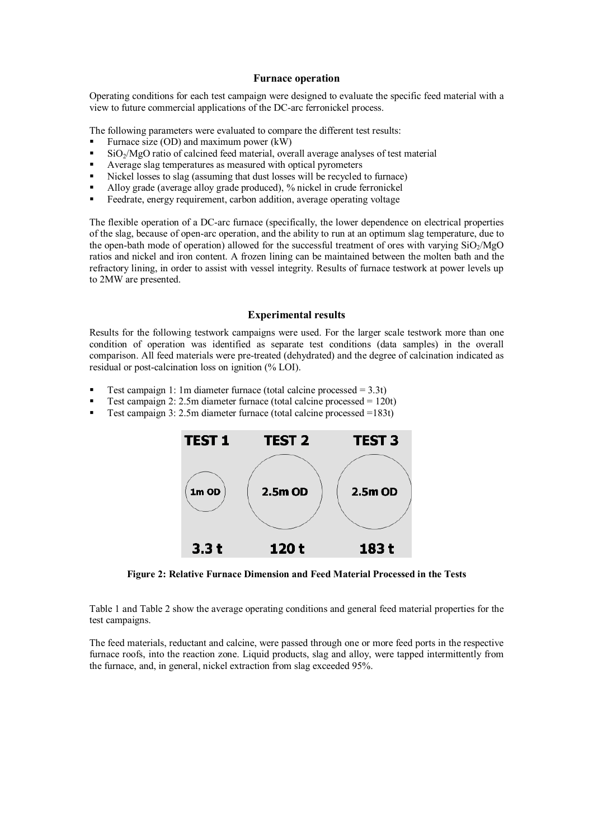### **Furnace operation**

Operating conditions for each test campaign were designed to evaluate the specific feed material with a view to future commercial applications of the DC-arc ferronickel process.

The following parameters were evaluated to compare the different test results:

- $\blacksquare$  Furnace size (OD) and maximum power (kW)
- $\blacksquare$  SiO<sub>2</sub>/MgO ratio of calcined feed material, overall average analyses of test material
- ! Average slag temperatures as measured with optical pyrometers
- ! Nickel losses to slag (assuming that dust losses will be recycled to furnace)
- Alloy grade (average alloy grade produced), % nickel in crude ferronickel
- ! Feedrate, energy requirement, carbon addition, average operating voltage

The flexible operation of a DC-arc furnace (specifically, the lower dependence on electrical properties of the slag, because of open-arc operation, and the ability to run at an optimum slag temperature, due to the open-bath mode of operation) allowed for the successful treatment of ores with varying SiO2/MgO ratios and nickel and iron content. A frozen lining can be maintained between the molten bath and the refractory lining, in order to assist with vessel integrity. Results of furnace testwork at power levels up to 2MW are presented.

### **Experimental results**

Results for the following testwork campaigns were used. For the larger scale testwork more than one condition of operation was identified as separate test conditions (data samples) in the overall comparison. All feed materials were pre-treated (dehydrated) and the degree of calcination indicated as residual or post-calcination loss on ignition (% LOI).

- ! Test campaign 1: 1m diameter furnace (total calcine processed = 3.3t)
- ! Test campaign 2: 2.5m diameter furnace (total calcine processed = 120t)
- Test campaign 3: 2.5m diameter furnace (total calcine processed =183t)



**Figure 2: Relative Furnace Dimension and Feed Material Processed in the Tests** 

Table 1 and Table 2 show the average operating conditions and general feed material properties for the test campaigns.

The feed materials, reductant and calcine, were passed through one or more feed ports in the respective furnace roofs, into the reaction zone. Liquid products, slag and alloy, were tapped intermittently from the furnace, and, in general, nickel extraction from slag exceeded 95%.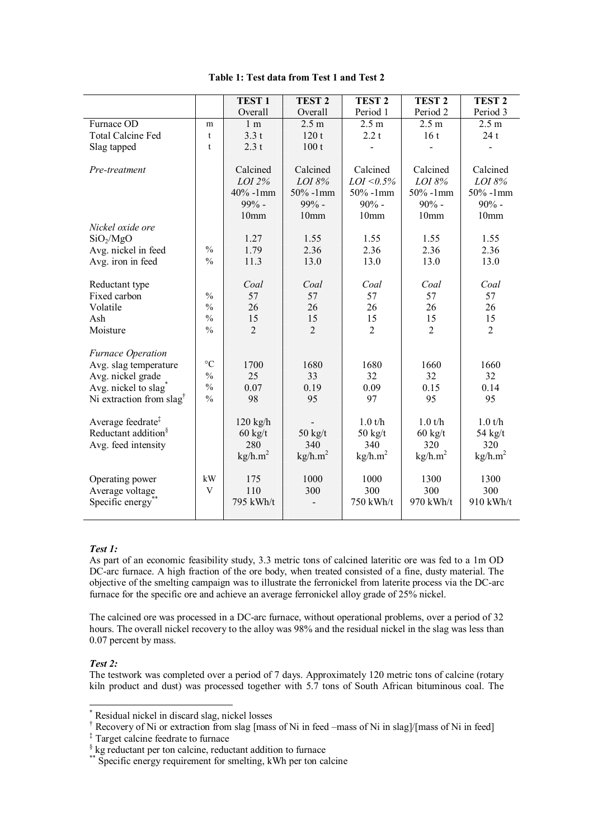|                                      |                 | <b>TEST1</b>        | <b>TEST 2</b>       | <b>TEST 2</b>       | <b>TEST 2</b>       | <b>TEST 2</b>       |
|--------------------------------------|-----------------|---------------------|---------------------|---------------------|---------------------|---------------------|
|                                      |                 | Overall             | Overall             | Period 1            | Period <sub>2</sub> | Period 3            |
| Furnace OD                           | m               | 1 <sub>m</sub>      | 2.5 m               | 2.5 m               | 2.5 <sub>m</sub>    | 2.5 m               |
| <b>Total Calcine Fed</b>             | t               | 3.3t                | 120t                | 2.2t                | 16 <sub>t</sub>     | 24t                 |
| Slag tapped                          | t               | 2.3t                | 100t                |                     |                     |                     |
|                                      |                 |                     |                     |                     |                     |                     |
| Pre-treatment                        |                 | Calcined            | Calcined            | Calcined            | Calcined            | Calcined            |
|                                      |                 | LOI 2%              | LOI 8%              | $LOI < 0.5\%$       | LOI 8%              | LOI 8%              |
|                                      |                 | 40% -1mm            | 50%-1mm             | 50%-1mm             | 50% -1mm            | 50% -1mm            |
|                                      |                 | $99% -$             | $99% -$             | $90%$ -             | $90%$ -             | $90%$ -             |
|                                      |                 | 10 <sub>mm</sub>    | 10 <sub>mm</sub>    | 10 <sub>mm</sub>    | 10mm                | 10mm                |
| Nickel oxide ore                     |                 |                     |                     |                     |                     |                     |
| SiO <sub>2</sub> /MgO                |                 | 1.27                | 1.55                | 1.55                | 1.55                | 1.55                |
| Avg. nickel in feed                  | $\frac{0}{0}$   | 1.79                | 2.36                | 2.36                | 2.36                | 2.36                |
| Avg. iron in feed                    | $\frac{0}{0}$   | 11.3                | 13.0                | 13.0                | 13.0                | 13.0                |
|                                      |                 |                     |                     |                     |                     |                     |
| Reductant type                       |                 | Coal                | Coal                | Coal                | Coal                | Coal                |
| Fixed carbon                         | $\frac{0}{0}$   | 57                  | 57                  | 57                  | 57                  | 57                  |
| Volatile                             | $\frac{0}{0}$   | 26                  | 26                  | 26                  | 26                  | 26                  |
| Ash                                  | $\frac{0}{0}$   | 15                  | 15                  | 15                  | 15                  | 15                  |
| Moisture                             | $\frac{0}{0}$   | $\overline{2}$      | $\overline{2}$      | $\overline{2}$      | $\overline{2}$      | $\overline{2}$      |
|                                      |                 |                     |                     |                     |                     |                     |
| Furnace Operation                    |                 |                     |                     |                     |                     |                     |
| Avg. slag temperature                | $\rm ^{\circ}C$ | 1700                | 1680                | 1680                | 1660                | 1660                |
| Avg. nickel grade                    | $\frac{0}{0}$   | 25                  | 33                  | 32                  | 32                  | 32                  |
| Avg. nickel to slag <sup>*</sup>     | $\frac{0}{0}$   | 0.07                | 0.19                | 0.09                | 0.15                | 0.14                |
| Ni extraction from slag <sup>†</sup> | $\frac{0}{0}$   | 98                  | 95                  | 97                  | 95                  | 95                  |
|                                      |                 |                     |                     |                     |                     |                     |
| Average feedrate <sup>‡</sup>        |                 | $120$ kg/h          |                     | $1.0$ t/h           | $1.0$ t/h           | $1.0$ t/h           |
| Reductant addition <sup>§</sup>      |                 | $60$ kg/t           | $50 \text{ kg}/t$   | $50$ kg/t           | $60$ kg/t           | 54 kg/t             |
| Avg. feed intensity                  |                 | 280                 | 340                 | 340                 | 320                 | 320                 |
|                                      |                 | kg/h.m <sup>2</sup> | kg/h.m <sup>2</sup> | kg/h.m <sup>2</sup> | kg/h.m <sup>2</sup> | kg/h.m <sup>2</sup> |
|                                      |                 |                     |                     |                     |                     |                     |
| Operating power                      | kW              | 175                 | 1000                | 1000                | 1300                | 1300                |
| Average voltage                      | V               | 110                 | 300                 | 300                 | 300                 | 300                 |
| Specific energy <sup>*</sup>         |                 | 795 kWh/t           |                     | 750 kWh/t           | 970 kWh/t           | 910 kWh/t           |
|                                      |                 |                     |                     |                     |                     |                     |

## **Table 1: Test data from Test 1 and Test 2**

#### *Test 1:*

As part of an economic feasibility study, 3.3 metric tons of calcined lateritic ore was fed to a 1m OD DC-arc furnace. A high fraction of the ore body, when treated consisted of a fine, dusty material. The objective of the smelting campaign was to illustrate the ferronickel from laterite process via the DC-arc furnace for the specific ore and achieve an average ferronickel alloy grade of 25% nickel.

The calcined ore was processed in a DC-arc furnace, without operational problems, over a period of 32 hours. The overall nickel recovery to the alloy was 98% and the residual nickel in the slag was less than 0.07 percent by mass.

## *Test 2:*

l

The testwork was completed over a period of 7 days. Approximately 120 metric tons of calcine (rotary kiln product and dust) was processed together with 5.7 tons of South African bituminous coal. The

<sup>†</sup> Recovery of Ni or extraction from slag [mass of Ni in feed  $-$ mass of Ni in slag]/[mass of Ni in feed]

<sup>\*</sup> Residual nickel in discard slag, nickel losses

<sup>&</sup>lt;sup>‡</sup> Target calcine feedrate to furnace

<sup>&</sup>lt;sup>§</sup> kg reductant per ton calcine, reductant addition to furnace

<sup>\*\*</sup> Specific energy requirement for smelting, kWh per ton calcine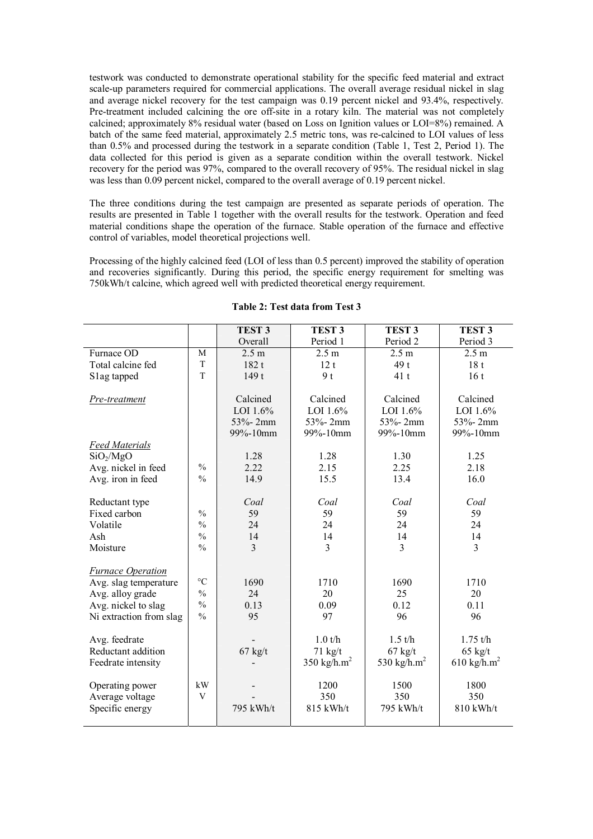testwork was conducted to demonstrate operational stability for the specific feed material and extract scale-up parameters required for commercial applications. The overall average residual nickel in slag and average nickel recovery for the test campaign was 0.19 percent nickel and 93.4%, respectively. Pre-treatment included calcining the ore off-site in a rotary kiln. The material was not completely calcined; approximately 8% residual water (based on Loss on Ignition values or LOI=8%) remained. A batch of the same feed material, approximately 2.5 metric tons, was re-calcined to LOI values of less than 0.5% and processed during the testwork in a separate condition (Table 1, Test 2, Period 1). The data collected for this period is given as a separate condition within the overall testwork. Nickel recovery for the period was 97%, compared to the overall recovery of 95%. The residual nickel in slag was less than 0.09 percent nickel, compared to the overall average of 0.19 percent nickel.

The three conditions during the test campaign are presented as separate periods of operation. The results are presented in Table 1 together with the overall results for the testwork. Operation and feed material conditions shape the operation of the furnace. Stable operation of the furnace and effective control of variables, model theoretical projections well.

Processing of the highly calcined feed (LOI of less than 0.5 percent) improved the stability of operation and recoveries significantly. During this period, the specific energy requirement for smelting was 750kWh/t calcine, which agreed well with predicted theoretical energy requirement.

|                          |                 | <b>TEST 3</b>    | <b>TEST 3</b>           | <b>TEST 3</b>           | <b>TEST 3</b>           |
|--------------------------|-----------------|------------------|-------------------------|-------------------------|-------------------------|
|                          |                 | Overall          | Period 1                | Period 2                | Period 3                |
| Furnace OD               | M               | 2.5 <sub>m</sub> | 2.5 m                   | 2.5 <sub>m</sub>        | 2.5 <sub>m</sub>        |
| Total calcine fed        | T               | 182t             | 12t                     | 49 t                    | 18 <sub>t</sub>         |
| S <sub>lag</sub> tapped  | $\mathbf T$     | 149 t            | 9 <sub>t</sub>          | 41t                     | 16 <sub>t</sub>         |
|                          |                 |                  |                         |                         |                         |
| Pre-treatment            |                 | Calcined         | Calcined                | Calcined                | Calcined                |
|                          |                 | LOI 1.6%         | LOI 1.6%                | LOI 1.6%                | LOI 1.6%                |
|                          |                 | 53%-2mm          | 53%-2mm                 | 53%-2mm                 | 53%-2mm                 |
|                          |                 | 99%-10mm         | 99%-10mm                | 99%-10mm                | 99%-10mm                |
| <b>Feed Materials</b>    |                 |                  |                         |                         |                         |
| SiO <sub>2</sub> /MgO    |                 | 1.28             | 1.28                    | 1.30                    | 1.25                    |
| Avg. nickel in feed      | $\frac{0}{0}$   | 2.22             | 2.15                    | 2.25                    | 2.18                    |
| Avg. iron in feed        | $\frac{0}{0}$   | 14.9             | 15.5                    | 13.4                    | 16.0                    |
|                          |                 |                  |                         |                         |                         |
| Reductant type           |                 | Coal             | Coal                    | Coal                    | Coal                    |
| Fixed carbon             | $\frac{0}{0}$   | 59               | 59                      | 59                      | 59                      |
| Volatile                 | $\frac{0}{0}$   | 24               | 24                      | 24                      | 24                      |
| Ash                      | $\frac{0}{0}$   | 14               | 14                      | 14                      | 14                      |
| Moisture                 | $\frac{0}{0}$   | $\overline{3}$   | 3                       | 3                       | 3                       |
|                          |                 |                  |                         |                         |                         |
| <b>Furnace Operation</b> |                 |                  |                         |                         |                         |
| Avg. slag temperature    | $\rm ^{\circ}C$ | 1690             | 1710                    | 1690                    | 1710                    |
| Avg. alloy grade         | $\frac{0}{0}$   | 24               | 20                      | 25                      | 20                      |
| Avg. nickel to slag      | $\frac{0}{0}$   | 0.13             | 0.09                    | 0.12                    | 0.11                    |
| Ni extraction from slag  | $\frac{0}{0}$   | 95               | 97                      | 96                      | 96                      |
|                          |                 |                  |                         |                         |                         |
| Avg. feedrate            |                 |                  | $1.0$ t/h               | $1.5$ t/h               | $1.75$ t/h              |
| Reductant addition       |                 | $67$ kg/t        | $71 \text{ kg}/t$       | $67$ kg/t               | $65$ kg/t               |
| Feedrate intensity       |                 |                  | 350 kg/h.m <sup>2</sup> | 530 kg/h.m <sup>2</sup> | 610 kg/h.m <sup>2</sup> |
|                          |                 |                  |                         |                         |                         |
| Operating power          | kW              |                  | 1200                    | 1500                    | 1800                    |
| Average voltage          | V               |                  | 350                     | 350                     | 350                     |
| Specific energy          |                 | 795 kWh/t        | 815 kWh/t               | 795 kWh/t               | 810 kWh/t               |
|                          |                 |                  |                         |                         |                         |

#### **Table 2: Test data from Test 3**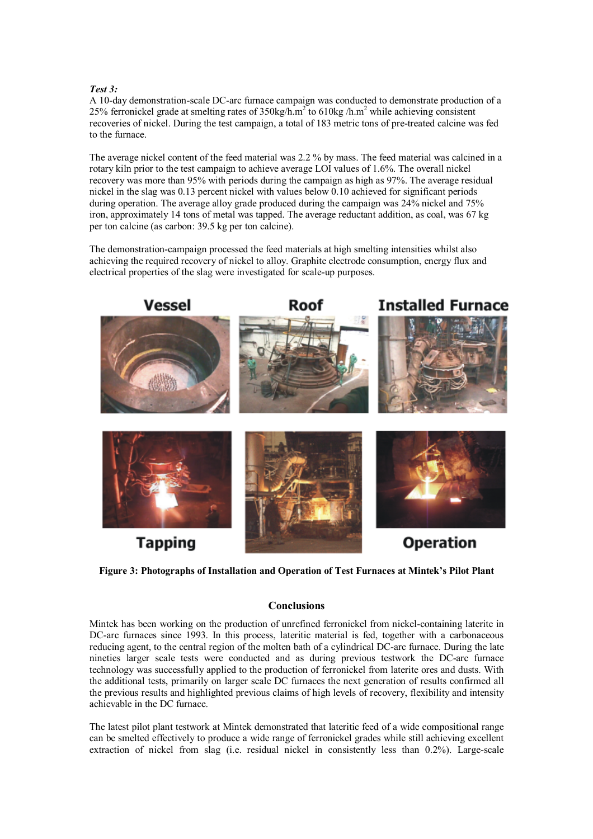## *Test 3:*

A 10-day demonstration-scale DC-arc furnace campaign was conducted to demonstrate production of a 25% ferronickel grade at smelting rates of  $350$ kg/h.m<sup>2</sup> to  $610$ kg /h.m<sup>2</sup> while achieving consistent recoveries of nickel. During the test campaign, a total of 183 metric tons of pre-treated calcine was fed to the furnace.

The average nickel content of the feed material was 2.2 % by mass. The feed material was calcined in a rotary kiln prior to the test campaign to achieve average LOI values of 1.6%. The overall nickel recovery was more than 95% with periods during the campaign as high as 97%. The average residual nickel in the slag was 0.13 percent nickel with values below 0.10 achieved for significant periods during operation. The average alloy grade produced during the campaign was 24% nickel and 75% iron, approximately 14 tons of metal was tapped. The average reductant addition, as coal, was 67 kg per ton calcine (as carbon: 39.5 kg per ton calcine).

The demonstration-campaign processed the feed materials at high smelting intensities whilst also achieving the required recovery of nickel to alloy. Graphite electrode consumption, energy flux and electrical properties of the slag were investigated for scale-up purposes.



**Figure 3: Photographs of Installation and Operation of Test Furnaces at Mintekís Pilot Plant** 

### **Conclusions**

Mintek has been working on the production of unrefined ferronickel from nickel-containing laterite in DC-arc furnaces since 1993. In this process, lateritic material is fed, together with a carbonaceous reducing agent, to the central region of the molten bath of a cylindrical DC-arc furnace. During the late nineties larger scale tests were conducted and as during previous testwork the DC-arc furnace technology was successfully applied to the production of ferronickel from laterite ores and dusts. With the additional tests, primarily on larger scale DC furnaces the next generation of results confirmed all the previous results and highlighted previous claims of high levels of recovery, flexibility and intensity achievable in the DC furnace.

The latest pilot plant testwork at Mintek demonstrated that lateritic feed of a wide compositional range can be smelted effectively to produce a wide range of ferronickel grades while still achieving excellent extraction of nickel from slag (i.e. residual nickel in consistently less than 0.2%). Large-scale